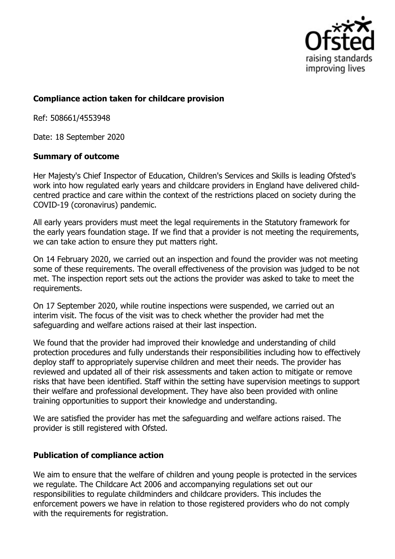

## **Compliance action taken for childcare provision**

Ref: 508661/4553948

Date: 18 September 2020

## **Summary of outcome**

Her Majesty's Chief Inspector of Education, Children's Services and Skills is leading Ofsted's work into how regulated early years and childcare providers in England have delivered childcentred practice and care within the context of the restrictions placed on society during the COVID-19 (coronavirus) pandemic.

All early years providers must meet the legal requirements in the Statutory framework for the early years foundation stage. If we find that a provider is not meeting the requirements, we can take action to ensure they put matters right.

On 14 February 2020, we carried out an inspection and found the provider was not meeting some of these requirements. The overall effectiveness of the provision was judged to be not met. The inspection report sets out the actions the provider was asked to take to meet the requirements.

On 17 September 2020, while routine inspections were suspended, we carried out an interim visit. The focus of the visit was to check whether the provider had met the safeguarding and welfare actions raised at their last inspection.

We found that the provider had improved their knowledge and understanding of child protection procedures and fully understands their responsibilities including how to effectively deploy staff to appropriately supervise children and meet their needs. The provider has reviewed and updated all of their risk assessments and taken action to mitigate or remove risks that have been identified. Staff within the setting have supervision meetings to support their welfare and professional development. They have also been provided with online training opportunities to support their knowledge and understanding.

We are satisfied the provider has met the safeguarding and welfare actions raised. The provider is still registered with Ofsted.

## **Publication of compliance action**

We aim to ensure that the welfare of children and young people is protected in the services we regulate. The Childcare Act 2006 and accompanying regulations set out our responsibilities to regulate childminders and childcare providers. This includes the enforcement powers we have in relation to those registered providers who do not comply with the requirements for registration.